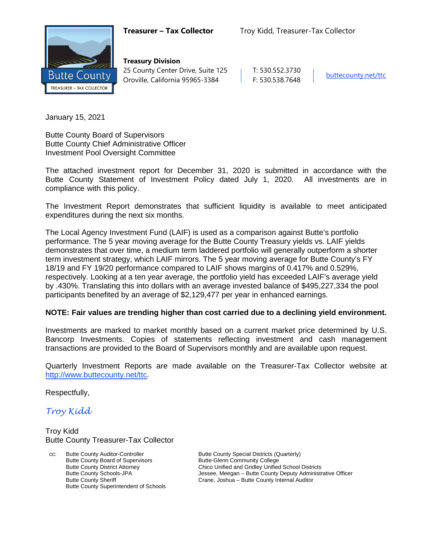

**Treasury Division** 25 County Center Drive, Suite 125 | T: 530.552.3730 Oroville, California 95965-3384 F: 530.538.7648 [buttecounty.net/t](http://www.buttecounty.net/administration)tc

January 15, 2021

Butte County Board of Supervisors Butte County Chief Administrative Officer Investment Pool Oversight Committee

The attached investment report for December 31, 2020 is submitted in accordance with the Butte County Statement of Investment Policy dated July 1, 2020. All investments are in compliance with this policy.

The Investment Report demonstrates that sufficient liquidity is available to meet anticipated expenditures during the next six months.

The Local Agency Investment Fund (LAIF) is used as a comparison against Butte's portfolio performance. The 5 year moving average for the Butte County Treasury yields vs. LAIF yields demonstrates that over time, a medium term laddered portfolio will generally outperform a shorter term investment strategy, which LAIF mirrors. The 5 year moving average for Butte County's FY 18/19 and FY 19/20 performance compared to LAIF shows margins of 0.417% and 0.529%, respectively. Looking at a ten year average, the portfolio yield has exceeded LAIF's average yield by .430%. Translating this into dollars with an average invested balance of \$495,227,334 the pool participants benefited by an average of \$2,129,477 per year in enhanced earnings.

#### **NOTE: Fair values are trending higher than cost carried due to a declining yield environment.**

Investments are marked to market monthly based on a current market price determined by U.S. Bancorp Investments. Copies of statements reflecting investment and cash management transactions are provided to the Board of Supervisors monthly and are available upon request.

Quarterly Investment Reports are made available on the Treasurer-Tax Collector website at <http://www.buttecounty.net/ttc>.

Respectfully,

*Troy Kidd*

Troy Kidd Butte County Treasurer-Tax Collector

Butte County Board of Supervisors<br>
Butte County District Attorney<br>
Chico Unified and Gridley Unified Butte County Superintendent of Schools

Butte County Auditor-Controller **Butte County Special Districts (Quarterly)** Butte County Special Districts (Quarterly) Butte County District Attorney<br>
Butte County Schools-JPA<br>
Jessee, Meegan – Butte County Deputy Administr Butte County Schools-JPA **Jessee, Meegan – Butte County Deputy Administrative Officer**<br>
Crane, Joshua – Butte County Internal Auditor<br>
Drame, Joshua – Butte County Internal Auditor Crane, Joshua – Butte County Internal Auditor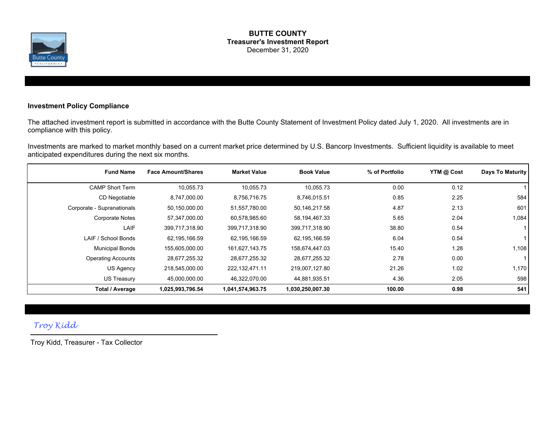

#### **BUTTE COUNTY Treasurer's Investment Report** December 31, 2020

### **Investment Policy Compliance**

The attached investment report is submitted in accordance with the Butte County Statement of Investment Policy dated July 1, 2020. All investments are in compliance with this policy.

Investments are marked to market monthly based on a current market price determined by U.S. Bancorp Investments. Sufficient liquidity is available to meet anticipated expenditures during the next six months.

| <b>Fund Name</b>           | <b>Face Amount/Shares</b> | <b>Market Value</b> | <b>Book Value</b> | % of Portfolio | YTM @ Cost | Days To Maturity |
|----------------------------|---------------------------|---------------------|-------------------|----------------|------------|------------------|
| <b>CAMP Short Term</b>     | 10,055.73                 | 10,055.73           | 10,055.73         | 0.00           | 0.12       |                  |
| CD Negotiable              | 8,747,000.00              | 8,756,716.75        | 8,746,015.51      | 0.85           | 2.25       | 584              |
| Corporate - Supranationals | 50,150,000.00             | 51,557,780.00       | 50,146,217.58     | 4.87           | 2.13       | 601              |
| <b>Corporate Notes</b>     | 57,347,000.00             | 60,578,985.60       | 58, 194, 467. 33  | 5.65           | 2.04       | 1,084            |
| LAIF                       | 399,717,318.90            | 399,717,318.90      | 399,717,318.90    | 38.80          | 0.54       |                  |
| LAIF / School Bonds        | 62, 195, 166.59           | 62,195,166.59       | 62,195,166.59     | 6.04           | 0.54       |                  |
| <b>Municipal Bonds</b>     | 155,605,000.00            | 161,627,143.75      | 158,674,447.03    | 15.40          | 1.28       | 1,108            |
| <b>Operating Accounts</b>  | 28,677,255.32             | 28,677,255.32       | 28,677,255.32     | 2.78           | 0.00       |                  |
| US Agency                  | 218,545,000.00            | 222,132,471.11      | 219,007,127.80    | 21.26          | 1.02       | 1,170            |
| US Treasury                | 45,000,000.00             | 46,322,070.00       | 44,881,935.51     | 4.36           | 2.05       | 598              |
| <b>Total / Average</b>     | 1,025,993,796.54          | 1,041,574,963.75    | 1,030,250,007.30  | 100.00         | 0.98       | 541              |

### *Troy Kidd*

Troy Kidd, Treasurer - Tax Collector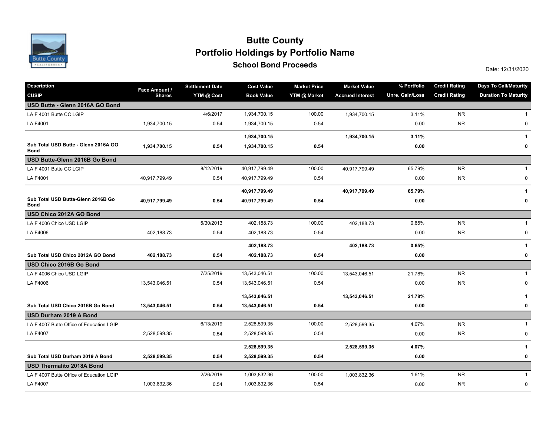

## **School Bond Proceeds School Bond Proceeds School Bond Proceeds Portfolio Holdings by Portfolio Name Butte County**

| <b>Description</b>                                  | Face Amount / | <b>Settlement Date</b> | <b>Cost Value</b> | <b>Market Price</b> | <b>Market Value</b>     | % Portfolio     | <b>Credit Rating</b> | <b>Days To Call/Maturity</b> |
|-----------------------------------------------------|---------------|------------------------|-------------------|---------------------|-------------------------|-----------------|----------------------|------------------------------|
| <b>CUSIP</b>                                        | <b>Shares</b> | YTM @ Cost             | <b>Book Value</b> | YTM @ Market        | <b>Accrued Interest</b> | Unre. Gain/Loss | <b>Credit Rating</b> | <b>Duration To Maturity</b>  |
| USD Butte - Glenn 2016A GO Bond                     |               |                        |                   |                     |                         |                 |                      |                              |
| LAIF 4001 Butte CC LGIP                             |               | 4/6/2017               | 1,934,700.15      | 100.00              | 1,934,700.15            | 3.11%           | N <sub>R</sub>       | $\mathbf{1}$                 |
| <b>LAIF4001</b>                                     | 1,934,700.15  | 0.54                   | 1,934,700.15      | 0.54                |                         | 0.00            | <b>NR</b>            | 0                            |
|                                                     |               |                        | 1,934,700.15      |                     | 1,934,700.15            | 3.11%           |                      | $\mathbf{1}$                 |
| Sub Total USD Butte - Glenn 2016A GO<br><b>Bond</b> | 1,934,700.15  | 0.54                   | 1,934,700.15      | 0.54                |                         | 0.00            |                      | 0                            |
| USD Butte-Glenn 2016B Go Bond                       |               |                        |                   |                     |                         |                 |                      |                              |
| LAIF 4001 Butte CC LGIP                             |               | 8/12/2019              | 40,917,799.49     | 100.00              | 40,917,799.49           | 65.79%          | <b>NR</b>            | $\mathbf{1}$                 |
| <b>LAIF4001</b>                                     | 40,917,799.49 | 0.54                   | 40,917,799.49     | 0.54                |                         | 0.00            | <b>NR</b>            | 0                            |
|                                                     |               |                        | 40,917,799.49     |                     | 40,917,799.49           | 65.79%          |                      | 1                            |
| Sub Total USD Butte-Glenn 2016B Go<br><b>Bond</b>   | 40,917,799.49 | 0.54                   | 40,917,799.49     | 0.54                |                         | 0.00            |                      | 0                            |
| USD Chico 2012A GO Bond                             |               |                        |                   |                     |                         |                 |                      |                              |
| LAIF 4006 Chico USD LGIP                            |               | 5/30/2013              | 402,188.73        | 100.00              | 402,188.73              | 0.65%           | <b>NR</b>            | $\mathbf{1}$                 |
| <b>LAIF4006</b>                                     | 402,188.73    | 0.54                   | 402,188.73        | 0.54                |                         | 0.00            | <b>NR</b>            | $\pmb{0}$                    |
|                                                     |               |                        | 402,188.73        |                     | 402,188.73              | 0.65%           |                      | $\mathbf{1}$                 |
| Sub Total USD Chico 2012A GO Bond                   | 402,188.73    | 0.54                   | 402,188.73        | 0.54                |                         | 0.00            |                      | $\mathbf 0$                  |
| USD Chico 2016B Go Bond                             |               |                        |                   |                     |                         |                 |                      |                              |
| LAIF 4006 Chico USD LGIP                            |               | 7/25/2019              | 13,543,046.51     | 100.00              | 13,543,046.51           | 21.78%          | <b>NR</b>            | $\mathbf{1}$                 |
| <b>LAIF4006</b>                                     | 13,543,046.51 | 0.54                   | 13,543,046.51     | 0.54                |                         | 0.00            | <b>NR</b>            | 0                            |
|                                                     |               |                        | 13,543,046.51     |                     | 13,543,046.51           | 21.78%          |                      | 1                            |
| Sub Total USD Chico 2016B Go Bond                   | 13,543,046.51 | 0.54                   | 13,543,046.51     | 0.54                |                         | 0.00            |                      | 0                            |
| USD Durham 2019 A Bond                              |               |                        |                   |                     |                         |                 |                      |                              |
| LAIF 4007 Butte Office of Education LGIP            |               | 6/13/2019              | 2,528,599.35      | 100.00              | 2,528,599.35            | 4.07%           | <b>NR</b>            | $\mathbf{1}$                 |
| <b>LAIF4007</b>                                     | 2,528,599.35  | 0.54                   | 2,528,599.35      | 0.54                |                         | 0.00            | <b>NR</b>            | $\pmb{0}$                    |
|                                                     |               |                        | 2,528,599.35      |                     | 2,528,599.35            | 4.07%           |                      | 1                            |
| Sub Total USD Durham 2019 A Bond                    | 2,528,599.35  | 0.54                   | 2,528,599.35      | 0.54                |                         | 0.00            |                      | 0                            |
| <b>USD Thermalito 2018A Bond</b>                    |               |                        |                   |                     |                         |                 |                      |                              |
| LAIF 4007 Butte Office of Education LGIP            |               | 2/26/2019              | 1,003,832.36      | 100.00              | 1,003,832.36            | 1.61%           | <b>NR</b>            | $\mathbf{1}$                 |
| <b>LAIF4007</b>                                     | 1,003,832.36  | 0.54                   | 1,003,832.36      | 0.54                |                         | 0.00            | <b>NR</b>            | $\pmb{0}$                    |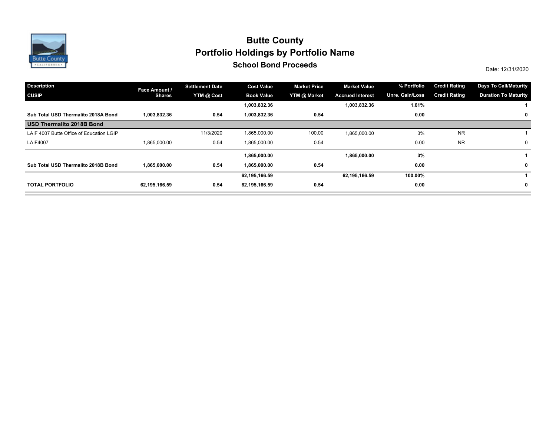

## **School Bond Proceeds School Bond Proceeds School Bond Proceeds Portfolio Holdings by Portfolio Name Butte County**

| <b>Description</b>                       | Face Amount / | <b>Settlement Date</b> | <b>Cost Value</b> | <b>Market Price</b> | <b>Market Value</b>     | % Portfolio            | <b>Credit Rating</b> | Days To Call/Maturity       |  |
|------------------------------------------|---------------|------------------------|-------------------|---------------------|-------------------------|------------------------|----------------------|-----------------------------|--|
| <b>CUSIP</b>                             | <b>Shares</b> | YTM @ Cost             | <b>Book Value</b> | YTM @ Market        | <b>Accrued Interest</b> | <b>Unre. Gain/Loss</b> | <b>Credit Rating</b> | <b>Duration To Maturity</b> |  |
|                                          |               |                        | 1,003,832.36      |                     | 1,003,832.36            | 1.61%                  |                      |                             |  |
| Sub Total USD Thermalito 2018A Bond      | 1,003,832.36  | 0.54                   | 1,003,832.36      | 0.54                |                         | 0.00                   |                      | $\mathbf 0$                 |  |
| <b>USD Thermalito 2018B Bond</b>         |               |                        |                   |                     |                         |                        |                      |                             |  |
| LAIF 4007 Butte Office of Education LGIP |               | 11/3/2020              | 1,865,000.00      | 100.00              | 1,865,000.00            | 3%                     | <b>NR</b>            |                             |  |
| <b>LAIF4007</b>                          | 1,865,000.00  | 0.54                   | 1,865,000.00      | 0.54                |                         | 0.00                   | <b>NR</b>            | 0                           |  |
|                                          |               |                        | 1,865,000.00      |                     | 1,865,000.00            | 3%                     |                      |                             |  |
| Sub Total USD Thermalito 2018B Bond      | 1,865,000.00  | 0.54                   | 1,865,000.00      | 0.54                |                         | 0.00                   |                      | 0                           |  |
|                                          |               |                        | 62,195,166.59     |                     | 62,195,166.59           | 100.00%                |                      |                             |  |
| <b>TOTAL PORTFOLIO</b>                   | 62,195,166.59 | 0.54                   | 62,195,166.59     | 0.54                |                         | 0.00                   |                      | 0                           |  |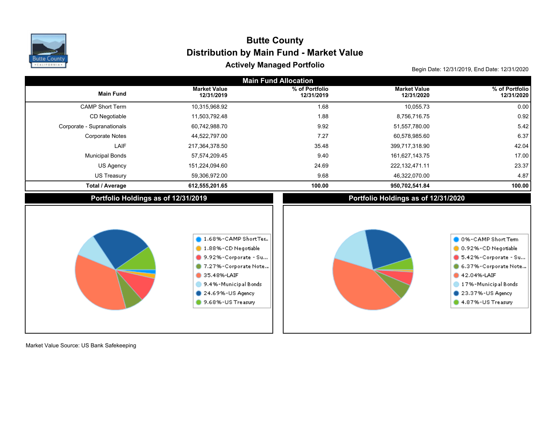

# Actively Managed Portfolio **Actively Managed Portfolio Begin Date: 12/31/2019, End Date: 12/31/2020 Distribution by Main Fund - Market Value Butte County**

| <b>Main Fund Allocation</b>         |                                                                                                                                                                            |                              |                                     |                                                                                                                                                                            |  |  |  |  |  |
|-------------------------------------|----------------------------------------------------------------------------------------------------------------------------------------------------------------------------|------------------------------|-------------------------------------|----------------------------------------------------------------------------------------------------------------------------------------------------------------------------|--|--|--|--|--|
| <b>Main Fund</b>                    | <b>Market Value</b><br>12/31/2019                                                                                                                                          | % of Portfolio<br>12/31/2019 | <b>Market Value</b><br>12/31/2020   | % of Portfolio<br>12/31/2020                                                                                                                                               |  |  |  |  |  |
| <b>CAMP Short Term</b>              | 10,315,968.92                                                                                                                                                              | 1.68                         | 10,055.73                           | 0.00                                                                                                                                                                       |  |  |  |  |  |
| CD Negotiable                       | 11,503,792.48                                                                                                                                                              | 1.88                         | 8,756,716.75                        | 0.92                                                                                                                                                                       |  |  |  |  |  |
| Corporate - Supranationals          | 60,742,988.70                                                                                                                                                              | 9.92                         | 51,557,780.00                       | 5.42                                                                                                                                                                       |  |  |  |  |  |
| <b>Corporate Notes</b>              | 44,522,797.00                                                                                                                                                              | 7.27                         | 60,578,985.60                       | 6.37                                                                                                                                                                       |  |  |  |  |  |
| LAIF                                | 217,364,378.50                                                                                                                                                             | 35.48                        | 399,717,318.90                      | 42.04                                                                                                                                                                      |  |  |  |  |  |
| <b>Municipal Bonds</b>              | 57,574,209.45                                                                                                                                                              | 9.40                         | 161,627,143.75                      | 17.00                                                                                                                                                                      |  |  |  |  |  |
| US Agency                           | 151,224,094.60                                                                                                                                                             | 24.69                        | 222,132,471.11                      | 23.37                                                                                                                                                                      |  |  |  |  |  |
| <b>US Treasury</b>                  | 59,306,972.00                                                                                                                                                              | 9.68                         | 46,322,070.00                       | 4.87                                                                                                                                                                       |  |  |  |  |  |
| <b>Total / Average</b>              | 612,555,201.65                                                                                                                                                             | 100.00                       | 950,702,541.84                      | 100.00                                                                                                                                                                     |  |  |  |  |  |
| Portfolio Holdings as of 12/31/2019 |                                                                                                                                                                            |                              | Portfolio Holdings as of 12/31/2020 |                                                                                                                                                                            |  |  |  |  |  |
|                                     | 1.68%-CAMP ShortTer<br>1.88%-CD Negotiable<br>9.92%-Corporate - Su<br>7.27%-Corporate Note<br>35.48%-LAIF<br>9.4%-Municipal Bonds<br>24.69%-US Agency<br>9.68%-US Treasury |                              |                                     | 0 0%-CAMP Short Term<br>0.92%-CD Negotiable<br>5.42%-Corporate - Su<br>6.37%-Corporate Note<br>42.04%-LAIF<br>17%-Municipal Bonds<br>23.37%-US Agency<br>4.87%-US Treasury |  |  |  |  |  |

Market Value Source: US Bank Safekeeping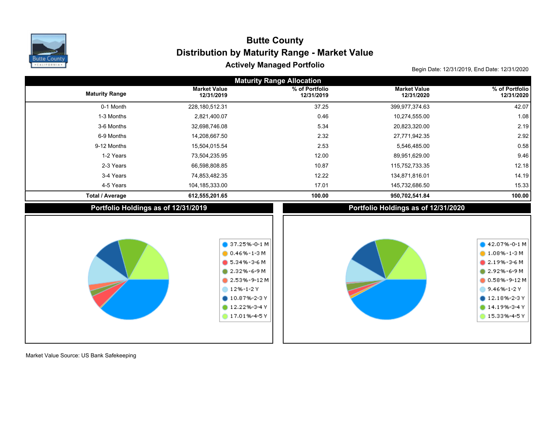

# Actively Managed Portfolio **Actively Managed Portfolio Begin Date: 12/31/2019, End Date: 12/31/2020 Distribution by Maturity Range - Market Value Butte County**

| <b>Maturity Range Allocation</b> |                                                                                                                                                                                  |                              |                                     |                                                                                                                                                                 |  |  |  |  |  |
|----------------------------------|----------------------------------------------------------------------------------------------------------------------------------------------------------------------------------|------------------------------|-------------------------------------|-----------------------------------------------------------------------------------------------------------------------------------------------------------------|--|--|--|--|--|
| <b>Maturity Range</b>            | <b>Market Value</b><br>12/31/2019                                                                                                                                                | % of Portfolio<br>12/31/2019 | <b>Market Value</b><br>12/31/2020   | % of Portfolio<br>12/31/2020                                                                                                                                    |  |  |  |  |  |
| 0-1 Month                        | 228,180,512.31                                                                                                                                                                   | 37.25                        | 399,977,374.63                      | 42.07                                                                                                                                                           |  |  |  |  |  |
| 1-3 Months                       | 2,821,400.07                                                                                                                                                                     | 0.46                         | 10,274,555.00                       | 1.08                                                                                                                                                            |  |  |  |  |  |
| 3-6 Months                       | 32,698,746.08                                                                                                                                                                    | 5.34                         | 20,823,320.00                       | 2.19                                                                                                                                                            |  |  |  |  |  |
| 6-9 Months                       | 14,208,667.50                                                                                                                                                                    | 2.32                         | 27,771,942.35                       | 2.92                                                                                                                                                            |  |  |  |  |  |
| 9-12 Months                      | 15,504,015.54                                                                                                                                                                    | 2.53                         | 5,546,485.00                        | 0.58                                                                                                                                                            |  |  |  |  |  |
| 1-2 Years                        | 73,504,235.95                                                                                                                                                                    | 12.00                        | 89,951,629.00                       | 9.46                                                                                                                                                            |  |  |  |  |  |
| 2-3 Years                        | 66,598,808.85                                                                                                                                                                    | 10.87                        | 115,752,733.35                      | 12.18                                                                                                                                                           |  |  |  |  |  |
| 3-4 Years                        | 74,853,482.35                                                                                                                                                                    | 12.22                        | 134,871,816.01                      | 14.19                                                                                                                                                           |  |  |  |  |  |
| 4-5 Years                        | 104,185,333.00                                                                                                                                                                   | 17.01                        | 145,732,686.50                      | 15.33                                                                                                                                                           |  |  |  |  |  |
| <b>Total / Average</b>           | 612,555,201.65                                                                                                                                                                   | 100.00                       | 950,702,541.84                      | 100.00                                                                                                                                                          |  |  |  |  |  |
|                                  | Portfolio Holdings as of 12/31/2019                                                                                                                                              |                              | Portfolio Holdings as of 12/31/2020 |                                                                                                                                                                 |  |  |  |  |  |
|                                  | $\bullet$ 37.25%-0-1 M<br>$0.46\% - 1 - 3$ M<br>$$5.34\% - 3 - 6$ M<br>2.32%-6-9 M<br>$2.53\% - 9 - 12M$<br>$012% - 1 - 2V$<br>10.87%-2-3Y<br>12.22%-3-4 Y<br>$17.01\% - 4 - 5V$ |                              |                                     | 42.07%-0-1 M<br>$1.08\% - 1 - 3$ M<br>$2.19% - 3 - 6M$<br>$2.92\% - 6 - 9M$<br>0.58%-9-12M<br>9.46%-1-2 Y<br>$12.18\% - 2 - 3$ Y<br>14.19%-3-4 Y<br>15.33%-4-5Y |  |  |  |  |  |

Market Value Source: US Bank Safekeeping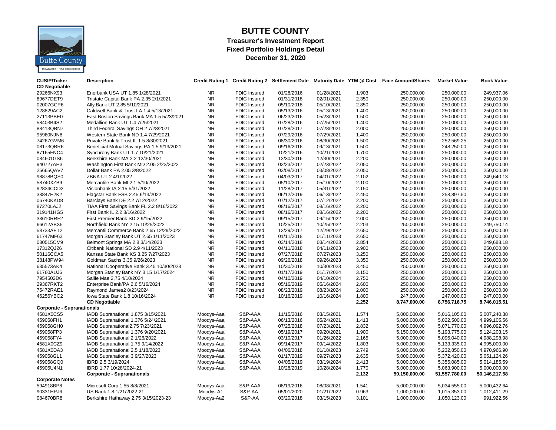

#### **BUTTE COUNTY Treasurer's Investment Report Fixed Portfolio Holdings Detail December 31, 2020**

| <b>CUSIP/Ticker</b><br><b>CD Negotiable</b> | <b>Description</b>                         |            |                     |            |            |       | Credit Rating 1 Credit Rating 2 Settlement Date Maturity Date YTM @ Cost Face Amount/Shares | <b>Market Value</b> | <b>Book Value</b> |
|---------------------------------------------|--------------------------------------------|------------|---------------------|------------|------------|-------|---------------------------------------------------------------------------------------------|---------------------|-------------------|
| 29266NX93                                   | Enerbank USA UT 1.85 1/28/2021             | <b>NR</b>  | <b>FDIC Insured</b> | 01/28/2016 | 01/28/2021 | 1.903 | 250,000.00                                                                                  | 250.000.00          | 249.937.06        |
| 89677DET9                                   | Tristate Capital Bank PA 2.35 2/1/2021     | <b>NR</b>  | <b>FDIC Insured</b> | 01/31/2018 | 02/01/2021 | 2.350 | 250,000.00                                                                                  | 250,000.00          | 250,000.00        |
| 02007GCP6                                   | Ally Bank UT 2.85 5/10/2021                | <b>NR</b>  | <b>FDIC Insured</b> | 05/10/2018 | 05/10/2021 | 2.850 | 250,000.00                                                                                  | 250,000.00          | 250,000.00        |
| 128829AC2                                   | Caldwell Bank & Trust LA 1.4 5/13/2021     | <b>NR</b>  | <b>FDIC Insured</b> | 05/13/2016 | 05/13/2021 | 1.400 | 250,000.00                                                                                  | 250,000.00          | 250,000.00        |
| 27113PBE0                                   | East Boston Savings Bank MA 1.5 5/23/2021  | <b>NR</b>  | <b>FDIC Insured</b> | 06/23/2016 | 05/23/2021 | 1.500 | 250,000.00                                                                                  | 250,000.00          | 250,000.00        |
| 58403B4S2                                   | Medallion Bank UT 1.4 7/25/2021            | <b>NR</b>  | FDIC Insured        | 07/28/2016 | 07/25/2021 | 1.400 | 250,000.00                                                                                  | 250,000.00          | 250,000.00        |
| 88413QBN7                                   | Third Federal Savings OH 2 7/28/2021       | <b>NR</b>  | FDIC Insured        | 07/28/2017 | 07/28/2021 | 2.000 | 250,000.00                                                                                  | 250,000.00          | 250,000.00        |
| 95960NJN8                                   | Western State Bank ND 1.4 7/29/2021        | <b>NR</b>  | <b>FDIC Insured</b> | 07/29/2016 | 07/29/2021 | 1.400 | 250,000.00                                                                                  | 250,000.00          | 250,000.00        |
| 74267GVM6                                   | Private Bank & Trust IL 1.5 8/30/2021      | <b>NR</b>  | <b>FDIC Insured</b> | 08/30/2016 | 08/30/2021 | 1.500 | 250,000.00                                                                                  | 252,569.25          | 250,000.00        |
| 08173QBR6                                   | Beneficial Mutual Savings PA 1.5 9/13/2021 | <b>NR</b>  | <b>FDIC Insured</b> | 09/16/2016 | 09/13/2021 | 1.500 | 250,000.00                                                                                  | 248,250.00          | 250,000.00        |
| 87165FNC4                                   | Synchrony Bank UT 1.7 10/21/2021           | <b>NR</b>  | FDIC Insured        | 10/21/2016 | 10/21/2021 | 1.700 | 250,000.00                                                                                  | 250,000.00          | 250,000.00        |
| 084601GS6                                   | Berkshire Bank MA 2.2 12/30/2021           | <b>NR</b>  | <b>FDIC Insured</b> | 12/30/2016 | 12/30/2021 | 2.200 | 250,000.00                                                                                  | 250,000.00          | 250,000.00        |
| 940727AH3                                   | Washington First Bank MD 2.05 2/23/2022    | <b>NR</b>  | <b>FDIC Insured</b> | 02/23/2017 | 02/23/2022 | 2.050 | 250,000.00                                                                                  | 250,000.00          | 250,000.00        |
| 25665QAV7                                   | Dollar Bank PA 2.05 3/8/2022               | <b>NR</b>  | <b>FDIC Insured</b> | 03/08/2017 | 03/08/2022 | 2.050 | 250,000.00                                                                                  | 250.000.00          | 250,000.00        |
| 98878BQS0                                   | ZBNA UT 2 4/1/2022                         | <b>NR</b>  | <b>FDIC Insured</b> | 04/03/2017 | 04/01/2022 | 2.102 | 250,000.00                                                                                  | 250,000.00          | 249,640.13        |
| 58740XZB9                                   | Mercantile Bank MI 2.1 5/10/2022           | <b>NR</b>  | <b>FDIC Insured</b> | 05/10/2017 | 05/10/2022 | 2.100 | 250,000.00                                                                                  | 250,000.00          | 250,000.00        |
| 92834CCD2                                   | Visionbank IA 2.15 5/31/2022               | <b>NR</b>  | <b>FDIC Insured</b> | 11/28/2017 | 05/31/2022 | 2.150 | 250,000.00                                                                                  | 250,000.00          | 250,000.00        |
| 33847E2K2                                   | Flagstar Bank FSB 2.45 6/13/2022           | <b>NR</b>  | <b>FDIC Insured</b> | 06/12/2019 | 06/13/2022 | 2.450 | 250,000.00                                                                                  | 258,897.50          | 250,000.00        |
| 06740KKD8                                   | Barclays Bank DE 2.2 7/12/2022             | <b>NR</b>  | <b>FDIC Insured</b> | 07/12/2017 | 07/12/2022 | 2.200 | 250,000.00                                                                                  | 250,000.00          | 250,000.00        |
| 87270LAJ2                                   | TIAA First Savings Bank FL 2.2 8/16/2022   | <b>NR</b>  | FDIC Insured        | 08/16/2017 | 08/16/2022 | 2.200 | 250,000.00                                                                                  | 250,000.00          | 250,000.00        |
| 319141HG5                                   | First Bank IL 2.2 8/16/2022                | <b>NR</b>  | <b>FDIC Insured</b> | 08/16/2017 | 08/16/2022 | 2.200 | 250,000.00                                                                                  | 250,000.00          | 250,000.00        |
| 33610RRF2                                   | First Premier Bank SD 2 9/15/2022          | <b>NR</b>  | <b>FDIC Insured</b> | 09/15/2017 | 09/15/2022 | 2.000 | 250,000.00                                                                                  | 250,000.00          | 250,000.00        |
| 66612ABX5                                   | Northfield Bank NY 2.15 10/25/2022         | <b>NR</b>  | <b>FDIC Insured</b> | 10/25/2017 | 10/25/2022 | 2.203 | 250,000.00                                                                                  | 250,000.00          | 249,750.14        |
| 58733AET2                                   | Mercantil Commerce Bank 2.65 12/29/2022    | <b>NR</b>  | <b>FDIC Insured</b> | 12/29/2017 | 12/29/2022 | 2.650 | 250,000.00                                                                                  | 250,000.00          | 250,000.00        |
| 61747MF63                                   | Morgan Stanley Bank UT 2.65 1/11/2023      | <b>NR</b>  | <b>FDIC Insured</b> | 01/11/2018 | 01/11/2023 | 2.650 | 250,000.00                                                                                  | 250,000.00          | 250,000.00        |
| 080515CM9                                   | Belmont Springs MA 2.8 3/14/2023           | <b>NR</b>  | <b>FDIC Insured</b> | 03/14/2018 | 03/14/2023 | 2.854 | 250,000.00                                                                                  | 250,000.00          | 249,688.18        |
| 17312QJ26                                   | Citibank National SD 2.9 4/11/2023         | <b>NR</b>  | <b>FDIC Insured</b> | 04/11/2018 | 04/11/2023 | 2.900 | 250,000.00                                                                                  | 250,000.00          | 250,000.00        |
| 50116CCA5                                   | Kansas State Bank KS 3.25 7/27/2023        | <b>NR</b>  | <b>FDIC Insured</b> | 07/27/2018 | 07/27/2023 | 3.250 | 250,000.00                                                                                  | 250,000.00          | 250,000.00        |
| 38148PW94                                   | Goldman Sachs 3.35 9/26/2023               | <b>NR</b>  | <b>FDIC Insured</b> | 09/26/2018 | 09/26/2023 | 3.350 | 250,000.00                                                                                  | 250,000.00          | 250,000.00        |
| 635573AK4                                   | National Cooperative Bank 3.45 10/30/2023  | <b>NR</b>  | <b>FDIC Insured</b> | 10/30/2018 | 10/30/2023 | 3.450 | 250,000.00                                                                                  | 250,000.00          | 250,000.00        |
| 61760AUJ6                                   | Morgan Stanley Bank NY 3.15 1/17/2024      | <b>NR</b>  | <b>FDIC Insured</b> | 01/17/2019 | 01/17/2024 | 3.150 | 250,000.00                                                                                  | 250,000.00          | 250,000.00        |
| 7954502D6                                   | Sallie Mae 2.75 4/10/2024                  | <b>NR</b>  | FDIC Insured        | 04/10/2019 | 04/10/2024 | 2.750 | 250,000.00                                                                                  | 250,000.00          | 250,000.00        |
| 29367RKT2                                   | Enterprise Bank/PA 2.6 5/16/2024           | <b>NR</b>  | <b>FDIC Insured</b> | 05/16/2019 | 05/16/2024 | 2.600 | 250,000.00                                                                                  | 250,000.00          | 250,000.00        |
| 75472RAE1                                   | Raymond James2 8/23/2024                   | <b>NR</b>  | <b>FDIC Insured</b> | 08/23/2019 | 08/23/2024 | 2.000 | 250,000.00                                                                                  | 250,000.00          | 250,000.00        |
| 46256YBC2                                   | lowa State Bank 1.8 10/16/2024             | <b>NR</b>  | FDIC Insured        | 10/16/2019 | 10/16/2024 | 1.800 | 247,000.00                                                                                  | 247,000.00          | 247,000.00        |
| <b>Corporate - Supranationals</b>           | <b>CD Negotiable</b>                       |            |                     |            |            | 2.252 | 8,747,000.00                                                                                | 8,756,716.75        | 8,746,015.51      |
| 4581X0CS5                                   | IADB Supranational 1.875 3/15/2021         | Moodys-Aaa | S&P-AAA             | 11/15/2016 | 03/15/2021 | 1.574 | 5,000,000.00                                                                                | 5,016,105.00        | 5,007,240.38      |
| 459058FH1                                   | IADB Supranational 1.376 5/24/2021         | Moodys-Aaa | S&P-AAA             | 06/13/2016 | 05/24/2021 | 1.413 | 5,000,000.00                                                                                | 5.022.500.00        | 4.999.105.56      |
| 459058GH0                                   | IADB Supranational2.75 7/23/2021           | Moodys-Aaa | S&P-AAA             | 07/25/2018 | 07/23/2021 | 2.832 | 5,000,000.00                                                                                | 5,071,770.00        | 4,996,092.76      |
| 459058FP3                                   | IADB Supranational 1.376 9/20/2021         | Moodys-Aaa | S&P-AAA             | 05/19/2017 | 09/20/2021 | 1.900 | 5,150,000.00                                                                                | 5,193,775.00        | 5,124,203.15      |
| 459058FY4                                   | IADB Supranational 2 1/26/2022             | Moodys-Aaa | S&P-AAA             | 03/10/2017 | 01/26/2022 | 2.165 | 5,000,000.00                                                                                | 5,096,040.00        | 4,988,298.98      |
| 4581X0CZ9                                   | IADB Supranational 1.75 9/14/2022          | Moodys-Aaa | S&P-AAA             | 09/14/2017 | 09/14/2022 | 1.803 | 5,000,000.00                                                                                | 5,133,335.00        | 4,995,000.00      |
| 4581X0DA3                                   | IADB Supranational 2.5 1/18/2023           | Moodys-Aaa | S&P-AAA             | 04/06/2018 | 01/18/2023 | 2.749 | 5,000,000.00                                                                                | 5,232,850.00        | 4,970,966.90      |
| 459058GL1                                   | IADB Supranational 3 9/27/2023             | Moodys-Aaa | S&P-AAA             | 01/17/2019 | 09/27/2023 | 2.635 | 5,000,000.00                                                                                | 5,372,420.00        | 5,051,124.26      |
| 459058GQ0                                   | IBRD 2.5 3/19/2024                         | Moodys-Aaa | S&P-AAA             | 04/05/2019 | 03/19/2024 | 2.413 | 5,000,000.00                                                                                | 5,355,085.00        | 5,014,185.59      |
| 45905U4N1                                   | IBRD 1.77 10/28/2024-21                    | Moodys-Aaa | S&P-AAA             | 10/28/2019 | 10/28/2024 | 1.770 | 5,000,000.00                                                                                | 5,063,900.00        | 5,000,000.00      |
|                                             | <b>Corporate - Supranationals</b>          |            |                     |            |            | 2.132 | 50,150,000.00                                                                               | 51,557,780.00       | 50,146,217.58     |
| <b>Corporate Notes</b>                      |                                            |            |                     |            |            |       |                                                                                             |                     |                   |
| 594918BP8                                   | Microsoft Corp 1.55 8/8/2021               | Moodys-Aaa | S&P-AAA             | 08/19/2016 | 08/08/2021 | 1.541 | 5,000,000.00                                                                                | 5,034,555.00        | 5,000,432.64      |
| 90331HPJ6                                   | US Bank 1.8 1/21/2022-21                   | Moodys-A1  | S&P-AA-             | 05/01/2020 | 01/21/2022 | 0.963 | 1,000,000.00                                                                                | 1,015,353.00        | 1,012,411.29      |
| 084670BR8                                   | Berkshire Hathaway 2.75 3/15/2023-23       | Moodys-Aa2 | S&P-AA              | 03/20/2018 | 03/15/2023 | 3.101 | 1,000,000.00                                                                                | 1.050.123.00        | 991,922.56        |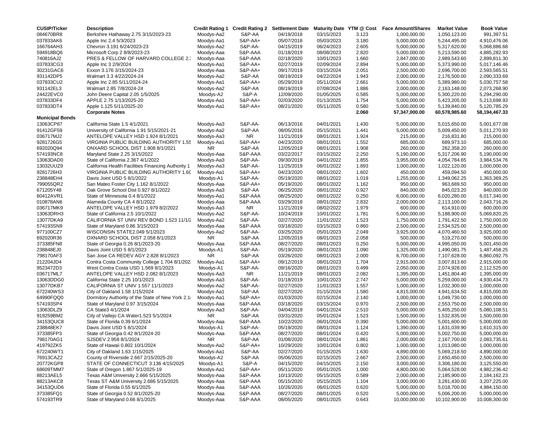| <b>CUSIP/Ticker</b>    | <b>Description</b>                                 |            |                    | Credit Rating 1 Credit Rating 2 Settlement Date Maturity Date YTM @ Cost |            |       | <b>Face Amount/Shares</b> | <b>Market Value</b> | <b>Book Value</b> |
|------------------------|----------------------------------------------------|------------|--------------------|--------------------------------------------------------------------------|------------|-------|---------------------------|---------------------|-------------------|
| 084670BR8              | Berkshire Hathaway 2.75 3/15/2023-23               | Moodys-Aa2 | S&P-AA             | 04/19/2018                                                               | 03/15/2023 | 3.123 | 1,000,000.00              | 1,050,123.00        | 991,397.51        |
| 037833AK6              | Apple Inc 2.4 5/3/2023                             | Moodys-Aa1 | S&P-AA+            | 05/07/2018                                                               | 05/03/2023 | 3.180 | 5,000,000.00              | 5,244,495.00        | 4,910,476.06      |
| 166764AH3              | Chevron 3.191 6/24/2023-23                         | Moodys-Aa2 | S&P-AA-            | 04/15/2019                                                               | 06/24/2023 | 2.605 | 5,000,000.00              | 5,317,620.00        | 5,068,886.68      |
| 594918BQ6              | Microsoft Corp 2 8/8/2023-23                       | Moodys-Aaa | S&P-AAA            | 01/18/2019                                                               | 08/08/2023 | 2.820 | 5,000,000.00              | 5,213,590.00        | 4,885,282.93      |
| 740816AJ2              | PRES & FELLOW OF HARVARD COLLEGE 2.3               | Moodys-Aaa | S&P-AAA            | 02/18/2020                                                               | 10/01/2023 | 1.660 | 2,847,000.00              | 2,989,543.60        | 2,899,811.30      |
| 037833CG3              | Apple Inc 3 2/9/2024                               | Moodys-Aa1 | S&P-AA+            | 02/27/2019                                                               | 02/09/2024 | 2.894 | 5,000,000.00              | 5,373,990.00        | 5,017,146.46      |
| 30231GAC6              | Exxon 3.176 3/15/2024-23                           | Moodys-Aaa | S&P-AA+            | 09/17/2019                                                               | 03/15/2024 | 2.051 | 2,500,000.00              | 2,696,700.00        | 2,593,565.51      |
| 931142DP5              | Walmart 3.3 4/22/2024-24                           | Moodys-Aa2 | S&P-AA             | 08/19/2019                                                               | 04/22/2024 | 1.943 | 2,000,000.00              | 2,176,500.00        | 2,090,333.69      |
| 037833CU2              | Apple Inc 2.85 5/11/2024-24                        | Moodys-Aa1 | <b>S&amp;P-AA+</b> | 05/29/2019                                                               | 05/11/2024 | 2.661 | 5,000,000.00              | 5,389,980.00        | 5,030,757.58      |
| 931142EL3              | Walmart 2.85 7/8/2024-24                           | Moodys-Aa2 | S&P-AA             | 08/19/2019                                                               | 07/08/2024 | 1.886 | 2,000,000.00              | 2,163,148.00        | 2,073,268.90      |
| 24422EVC0              | John Deere Capital 2.05 1/5/2025                   | Moodys-A2  | S&P-A              | 12/09/2020                                                               | 01/05/2025 | 0.585 | 5,000,000.00              | 5,300,220.00        | 5,294,290.00      |
| 037833DF4              | APPLE 2.75 1/13/2025-20                            | Moodys-Aa1 | S&P-AA+            | 02/03/2020                                                               | 01/13/2025 | 1.754 | 5,000,000.00              | 5,423,205.00        | 5,213,698.93      |
| 037833DT4              | Apple 1.125 5/11/2025-20                           | Moodys-Aa1 | S&P-AA+            | 08/21/2020                                                               | 05/11/2025 | 0.580 | 5,000,000.00              | 5,139,840.00        | 5,120,785.29      |
|                        | <b>Corporate Notes</b>                             |            |                    |                                                                          |            | 2.060 | 57,347,000.00             | 60,578,985.60       | 58,194,467.33     |
| <b>Municipal Bonds</b> |                                                    |            |                    |                                                                          |            |       |                           |                     |                   |
| 13063CP87              | California State 1.5 4/1/2021                      | Moodys-Aa3 | S&P-AA-            | 06/13/2016                                                               | 04/01/2021 | 1.430 | 5,000,000.00              | 5,015,650.00        | 5,001,677.08      |
| 91412GF59              | University of California 1.91 5/15/2021-21         | Moodys-Aa2 | S&P-AA             | 08/05/2016                                                               | 05/15/2021 | 1.441 | 5,000,000.00              | 5,009,450.00        | 5,011,270.93      |
| 036717MJ2              | ANTELOPE VALLEY HSD 1.924 8/1/2021                 | Moodys-Aa3 | NR.                | 11/21/2019                                                               | 08/01/2021 | 1.924 | 215,000.00                | 216,831.80          | 215,000.00        |
| 9281726G5              | VIRGINIA PUBLIC BUILDING AUTHORITY 1.55            | Moodys-Aa1 | S&P-AA+            | 04/23/2020                                                               | 08/01/2021 | 1.552 | 685,000.00                | 689,973.10          | 685,000.00        |
| 692020Q94              | ONXARD SCHOOL DIST 1.908 8/1/2021                  | <b>NR</b>  | S&P-AA             | 12/05/2019                                                               | 08/01/2021 | 1.908 | 260,000.00                | 262,358.20          | 260,000.00        |
| 574193NC8              | Maryland State 2.25 3/15/2022                      | Moodys-Aaa | S&P-AAA            | 03/22/2017                                                               | 03/15/2022 | 2.250 | 5,190,000.00              | 5,317,206.90        | 5,190,000.00      |
| 13063DAD0              | State of California 2.367 4/1/2022                 | Moodys-Aa3 | S&P-AA-            | 09/30/2019                                                               | 04/01/2022 | 1.855 | 3,955,000.00              | 4,054,784.65        | 3,984,534.76      |
| 13032UUZ9              | California Health Facilities Financing Authority 1 | Moodys-Aa3 | S&P-AA-            | 11/25/2019                                                               | 06/01/2022 | 1.893 | 1,000,000.00              | 1,022,120.00        | 1,000,000.00      |
| 9281726H3              | VIRGINIA PUBLIC BUILDING AUTHORITY 1.60            | Moodys-Aa1 | S&P-AA+            | 04/23/2020                                                               | 08/01/2022 | 1.602 | 450,000.00                | 459,094.50          | 450,000.00        |
| 238848EH4              | Davis Joint USD 5 8/1/2022                         | Moodys-A1  | S&P-AA-            | 05/19/2020                                                               | 08/01/2022 | 1.019 | 1,255,000.00              | 1,349,062.25        | 1,363,369.25      |
| 799055QR2              | San Mateo Foster City 1.162 8/1/2022               | Moodys-Aaa | S&P-AA+            | 05/19/2020                                                               | 08/01/2022 | 1.162 | 950,000.00                | 963,689.50          | 950,000.00        |
| 671205Y48              | Oak Grove School Dist 0.927 8/1/2022               | Moodys-Aa3 | S&P-AA             | 06/25/2020                                                               | 08/01/2022 | 0.927 | 840,000.00                | 845,023.20          | 840,000.00        |
| 60412AVR1              | State of Minnesota 0.4 8/1/2022                    | Moodys-Aa1 | S&P-AAA            | 08/25/2020                                                               | 08/01/2022 | 0.250 | 6,000,000.00              | 6,020,280.00        | 6,017,340.00      |
| 010878AN6              | Alameda County CA 4 8/1/2022                       | Moodys-Aaa | S&P-AAA            | 03/29/2018                                                               | 08/01/2022 | 2.832 | 2,000,000.00              | 2,113,100.00        | 2,043,716.26      |
| 036717MK9              | ANTELOPE VALLEY HSD 1.979 8/2/2022                 | Moodys-Aa3 | NR.                | 11/21/2019                                                               | 08/02/2022 | 1.979 | 600,000.00                | 614,910.00          | 600,000.00        |
| 13063DRH3              | State of California 2.5 10/1/2022                  | Moodys-Aa2 | S&P-AA-            | 10/24/2019                                                               | 10/01/2022 | 1.781 | 5,000,000.00              | 5,188,900.00        | 5,069,820.25      |
| 13077DKA9              | CALIFORNIA ST UNIV REV BOND 1.523 11/1/2           | Moodys-Aa2 | S&P-AA-            | 02/27/2020                                                               | 11/01/2022 | 1.523 | 1,750,000.00              | 1,791,422.50        | 1,750,000.00      |
| 574193SN9              | State of Maryland 0.86 3/15/2023                   | Moodys-Aaa | S&P-AAA            | 03/18/2020                                                               | 03/15/2023 | 0.860 | 2,500,000.00              | 2,534,525.00        | 2,500,000.00      |
| 977100CZ7              | WISCONSIN STATE2.049 5/1/2023                      | Moodys-Aa2 | S&P-AA-            | 03/25/2020                                                               | 05/01/2023 | 2.049 | 3,925,000.00              | 4,070,460.50        | 3,925,000.00      |
| 692020R36              | OXNARD SCHOOL DIST 2.058 8/1/2023                  | NR.        | S&P-AA             | 12/05/2019                                                               | 08/01/2023 | 2.058 | 500,000.00                | 519,270.00          | 500,000.00        |
| 373385FN8              | State of Georgia 0.26 8/1/2023-20                  | Moodys-Aaa | S&P-AAA            | 08/27/2020                                                               | 08/01/2023 | 0.250 | 5,000,000.00              | 4,995,050.00        | 5,001,450.00      |
| 238848EJ0              | Davis Joint USD 5 8/1/2023                         | Moodys-A1  | S&P-AA-            | 05/19/2020                                                               | 08/01/2023 | 1.090 | 1,325,000.00              | 1,490,081.75        | 1,487,458.25      |
| 798170AF3              | San Jose CA REDEV AGY 2.828 8/1/2023               | NR.        | S&P-AA             | 03/26/2020                                                               | 08/01/2023 | 2.000 | 6,700,000.00              | 7,107,628.00        | 6,860,092.75      |
| 212204JD4              | Contra Costa Community College 1.704 8/1/202.      | Moodys-Aa1 | <b>S&amp;P-AA+</b> | 09/12/2019                                                               | 08/01/2023 | 1.704 | 2,915,000.00              | 3,007,813.60        | 2,915,000.00      |
| 9523472D3              | West Contra Costa USD 1.569 8/1/2023               | Moodys-A1  | S&P-AA-            | 09/16/2020                                                               | 08/01/2023 | 0.499 | 2,050,000.00              | 2,074,928.00        | 2,112,525.00      |
| 036717ML7              | ANTELOPE VALLEY HSD 2.082 8/1/2023                 | Moodys-Aa3 | NR.                | 11/21/2019                                                               | 08/01/2023 | 2.082 | 1,395,000.00              | 1,451,804.40        | 1,395,000.00      |
| 13063DDG0              | California State 2.25 10/1/2023                    | Moodys-Aa3 | <b>S&amp;P-AA-</b> | 01/18/2019                                                               | 10/01/2023 | 2.747 | 5,000,000.00              | 5,259,000.00        | 4,930,434.73      |
| 13077DKB7              | CALIFORNIA ST UNIV 1.557 11/1/2023                 | Moodys-Aa2 | S&P-AA-            | 02/27/2020                                                               | 11/01/2023 | 1.557 | 1,000,000.00              | 1,032,300.00        | 1,000,000.00      |
| 672240WS3              | City of Oakland 1.58 1/15/2024                     | Moodys-Aa1 | S&P-AA             | 02/27/2020                                                               | 01/15/2024 | 1.580 | 4,815,000.00              | 4,941,634.50        | 4,815,000.00      |
| 64990FQQ0              | Dormitory Authority of the State of New York 2.14  | Moodys-Aa1 | <b>S&amp;P-AA+</b> | 01/03/2020                                                               | 02/15/2024 | 2.140 | 1,000,000.00              | 1,049,730.00        | 1,000,000.00      |
| 574193SP4              | State of Maryland 0.97 3/15/2024                   | Moodys-Aaa | S&P-AAA            | 03/18/2020                                                               | 03/15/2024 | 0.970 | 2,500,000.00              | 2,553,750.00        | 2,500,000.00      |
| 13063DLZ9              | CA State3 4/1/2024                                 | Moodys-Aa3 | S&P-AA-            | 04/04/2019                                                               | 04/01/2024 | 2.510 | 5,000,000.00              | 5,405,250.00        | 5,080,108.51      |
| 919259BM2              | City of Vallejo CA Water1.523 5/1/2024             | <b>NR</b>  | S&P-AA             | 03/31/2020                                                               | 05/01/2024 | 1.523 | 1,500,000.00              | 1,532,835.00        | 1,500,000.00      |
| 34153QUC8              | State of Florida 0.39 6/1/2024                     | Moodys-Aaa | S&P-AAA            | 10/22/2020                                                               | 06/01/2024 | 0.390 | 5,000,000.00              | 5,001,600.00        | 5,000,000.00      |
| 238848EK7              | Davis Joint USD 5 8/1/2024                         | Moodys-A1  | S&P-AA-            | 05/19/2020                                                               | 08/01/2024 | 1.124 | 1,390,000.00              | 1,631,039.90        | 1,610,315.00      |
| 373385FP3              | State of Georgia 0.42 8/1/2024-20                  | Moodys-Aaa | S&P-AAA            | 08/27/2020                                                               | 08/01/2024 | 0.420 | 5,000,000.00              | 5,002,750.00        | 5,000,000.00      |
| 798170AG1              | SJSDEV 2.958 8/1/2024                              | <b>NR</b>  | S&P-AA             | 01/08/2020                                                               | 08/01/2024 | 1.861 | 2,000,000.00              | 2,167,700.00        | 2,083,735.61      |
| 419792ZK5              | State of Hawaii 0.802 10/1/2024                    | Moodys-Aa2 | S&P-AA+            | 10/29/2020                                                               | 10/01/2024 | 0.802 | 1,000,000.00              | 1,013,080.00        | 1,000,000.00      |
| 672240WT1              | City of Oakland 1.63 1/15/2025                     | Moodys-Aa1 | S&P-AA             | 02/27/2020                                                               | 01/15/2025 | 1.630 | 4,890,000.00              | 5,069,218.50        | 4,890,000.00      |
| 76913CAZ2              | County of Riverside 2.667 2/15/2025-20             | Moodys-A2  | S&P-AA             | 05/06/2020                                                               | 02/15/2025 | 2.667 | 2,500,000.00              | 2,650,450.00        | 2,500,000.00      |
| 20772KGP8              | STATE OF CONNECTICUT 3.136 4/15/2025               | Moodys-A1  | S&P-A              | 04/15/2020                                                               | 04/15/2025 | 2.150 | 3,000,000.00              | 3,306,180.00        | 3,125,550.00      |
| 68609TMM7              | State of Oregon 1.867 5/1/2025-19                  | Moodys-Aa1 | S&P-AA+            | 05/11/2020                                                               | 05/01/2025 | 1.000 | 4,800,000.00              | 5,064,528.00        | 4,982,236.42      |
| 88213AEL5              | Texas A&M University 2.666 5/15/2025               | Moodys-Aaa | S&P-AAA            | 10/13/2020                                                               | 05/15/2025 | 0.589 | 2,000,000.00              | 2,185,900.00        | 2,184,162.23      |
| 88213AKC8              | Texas ST A&M University 2.686 5/15/2025            | Moodys-Aaa | S&P-AAA            | 05/15/2020                                                               | 05/15/2025 | 1.104 | 3,000,000.00              | 3,281,430.00        | 3,207,225.00      |
| 34153QUD6              | State of Florida 0.55 6/1/2025                     | Moodys-Aaa | S&P-AAA            | 10/26/2020                                                               | 06/01/2025 | 0.620 | 5,000,000.00              | 5,018,700.00        | 4,984,150.00      |
| 373385FQ1              | State of Georgia 0.52 8/1/2025-20                  | Moodys-Aaa | S&P-AAA            | 08/27/2020                                                               | 08/01/2025 | 0.520 | 5,000,000.00              | 5,006,200.00        | 5,000,000.00      |
| 574193TR9              | State of Maryland 0.66 8/1/2025                    | Moodys-Aaa | S&P-AAA            | 08/05/2020                                                               | 08/01/2025 | 0.643 | 10,000,000.00             | 10,102,900.00       | 10,008,300.00     |